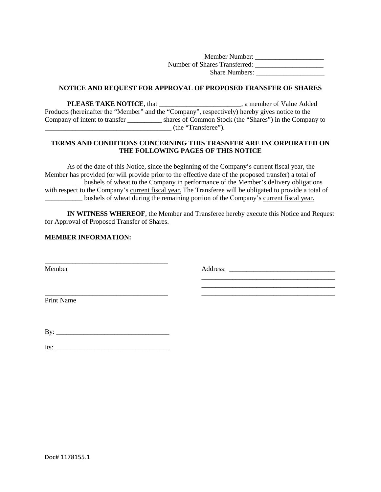Member Number: \_\_\_\_\_\_\_\_\_\_\_\_\_\_\_\_\_\_\_\_ Number of Shares Transferred: \_\_\_\_\_\_\_\_\_\_\_\_\_\_\_\_\_\_\_\_ Share Numbers:

## **NOTICE AND REQUEST FOR APPROVAL OF PROPOSED TRANSFER OF SHARES**

**PLEASE TAKE NOTICE**, that \_\_\_\_\_\_\_\_\_\_\_\_\_\_\_\_\_\_\_\_\_\_, a member of Value Added Products (hereinafter the "Member" and the "Company", respectively) hereby gives notice to the Company of intent to transfer \_\_\_\_\_\_\_\_\_\_ shares of Common Stock (the "Shares") in the Company to  $\qquad \qquad$  (the "Transferee").

## **TERMS AND CONDITIONS CONCERNING THIS TRASNFER ARE INCORPORATED ON THE FOLLOWING PAGES OF THIS NOTICE**

As of the date of this Notice, since the beginning of the Company's current fiscal year, the Member has provided (or will provide prior to the effective date of the proposed transfer) a total of \_\_\_\_\_\_\_\_\_\_\_ bushels of wheat to the Company in performance of the Member's delivery obligations with respect to the Company's current fiscal year. The Transferee will be obligated to provide a total of \_\_\_\_\_\_\_\_\_\_\_ bushels of wheat during the remaining portion of the Company's current fiscal year.

**IN WITNESS WHEREOF**, the Member and Transferee hereby execute this Notice and Request for Approval of Proposed Transfer of Shares.

## **MEMBER INFORMATION:**

Member

Address: \_\_\_\_\_\_\_\_\_\_\_\_\_\_\_\_\_\_\_\_\_\_\_\_\_\_\_\_\_\_\_

\_\_\_\_\_\_\_\_\_\_\_\_\_\_\_\_\_\_\_\_\_\_\_\_\_\_\_\_\_\_\_\_\_\_\_\_\_\_\_

\_\_\_\_\_\_\_\_\_\_\_\_\_\_\_\_\_\_\_\_\_\_\_\_\_\_\_\_\_\_\_\_\_\_\_\_\_\_\_

Print Name

 $\mathbf{B} \mathbf{y}$ :

\_\_\_\_\_\_\_\_\_\_\_\_\_\_\_\_\_\_\_\_\_\_\_\_\_\_\_\_\_\_\_\_\_\_\_\_

\_\_\_\_\_\_\_\_\_\_\_\_\_\_\_\_\_\_\_\_\_\_\_\_\_\_\_\_\_\_\_\_\_\_\_\_

Its:  $\frac{1}{2}$